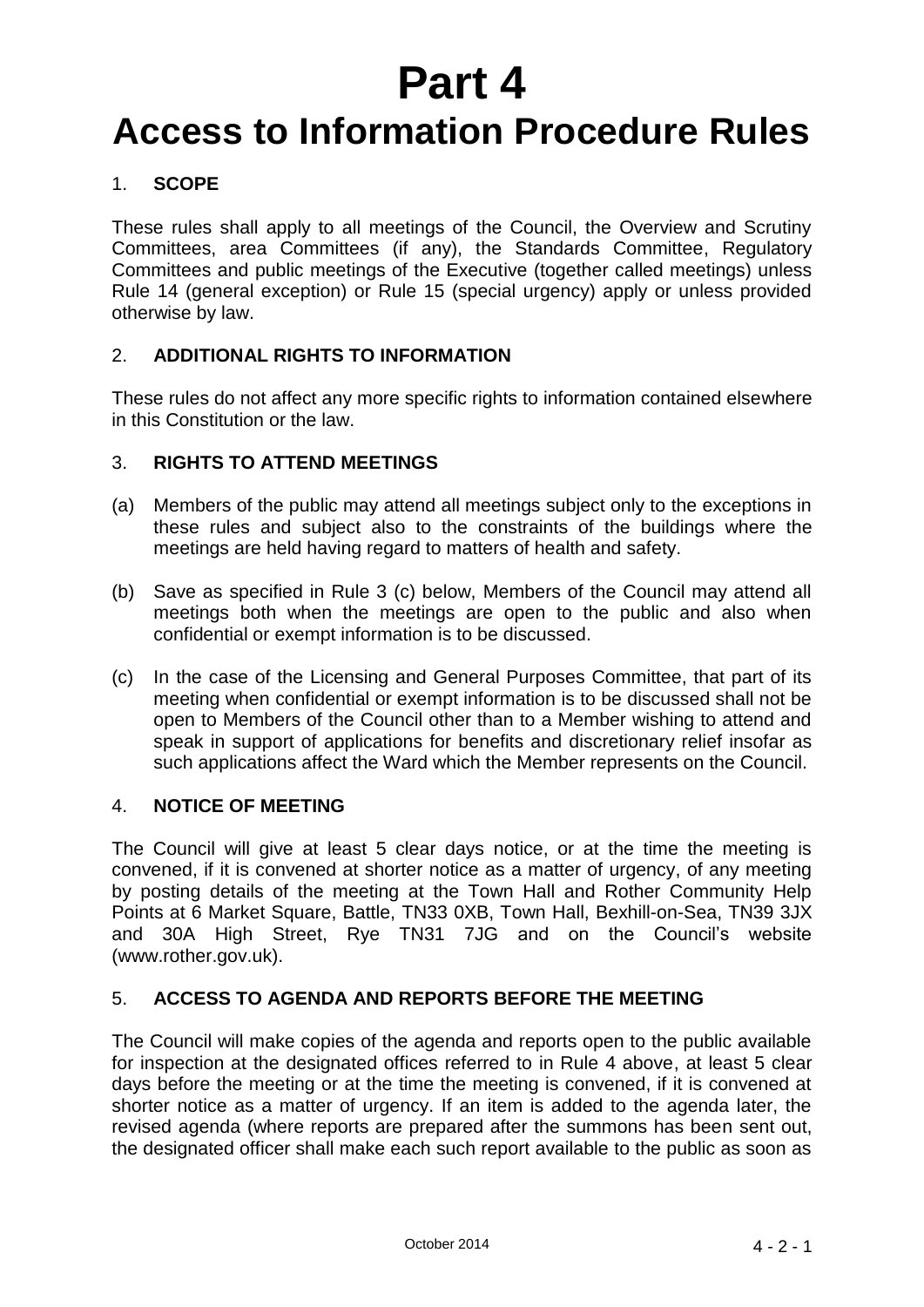# **Part 4**

## **Access to Information Procedure Rules**

## 1. **SCOPE**

These rules shall apply to all meetings of the Council, the Overview and Scrutiny Committees, area Committees (if any), the Standards Committee, Regulatory Committees and public meetings of the Executive (together called meetings) unless Rule 14 (general exception) or Rule 15 (special urgency) apply or unless provided otherwise by law.

## 2. **ADDITIONAL RIGHTS TO INFORMATION**

These rules do not affect any more specific rights to information contained elsewhere in this Constitution or the law.

## 3. **RIGHTS TO ATTEND MEETINGS**

- (a) Members of the public may attend all meetings subject only to the exceptions in these rules and subject also to the constraints of the buildings where the meetings are held having regard to matters of health and safety.
- (b) Save as specified in Rule 3 (c) below, Members of the Council may attend all meetings both when the meetings are open to the public and also when confidential or exempt information is to be discussed.
- (c) In the case of the Licensing and General Purposes Committee, that part of its meeting when confidential or exempt information is to be discussed shall not be open to Members of the Council other than to a Member wishing to attend and speak in support of applications for benefits and discretionary relief insofar as such applications affect the Ward which the Member represents on the Council.

## 4. **NOTICE OF MEETING**

The Council will give at least 5 clear days notice, or at the time the meeting is convened, if it is convened at shorter notice as a matter of urgency, of any meeting by posting details of the meeting at the Town Hall and Rother Community Help Points at 6 Market Square, Battle, TN33 0XB, Town Hall, Bexhill-on-Sea, TN39 3JX and 30A High Street, Rye TN31 7JG and on the Council's website (www.rother.gov.uk).

## 5. **ACCESS TO AGENDA AND REPORTS BEFORE THE MEETING**

The Council will make copies of the agenda and reports open to the public available for inspection at the designated offices referred to in Rule 4 above, at least 5 clear days before the meeting or at the time the meeting is convened, if it is convened at shorter notice as a matter of urgency. If an item is added to the agenda later, the revised agenda (where reports are prepared after the summons has been sent out, the designated officer shall make each such report available to the public as soon as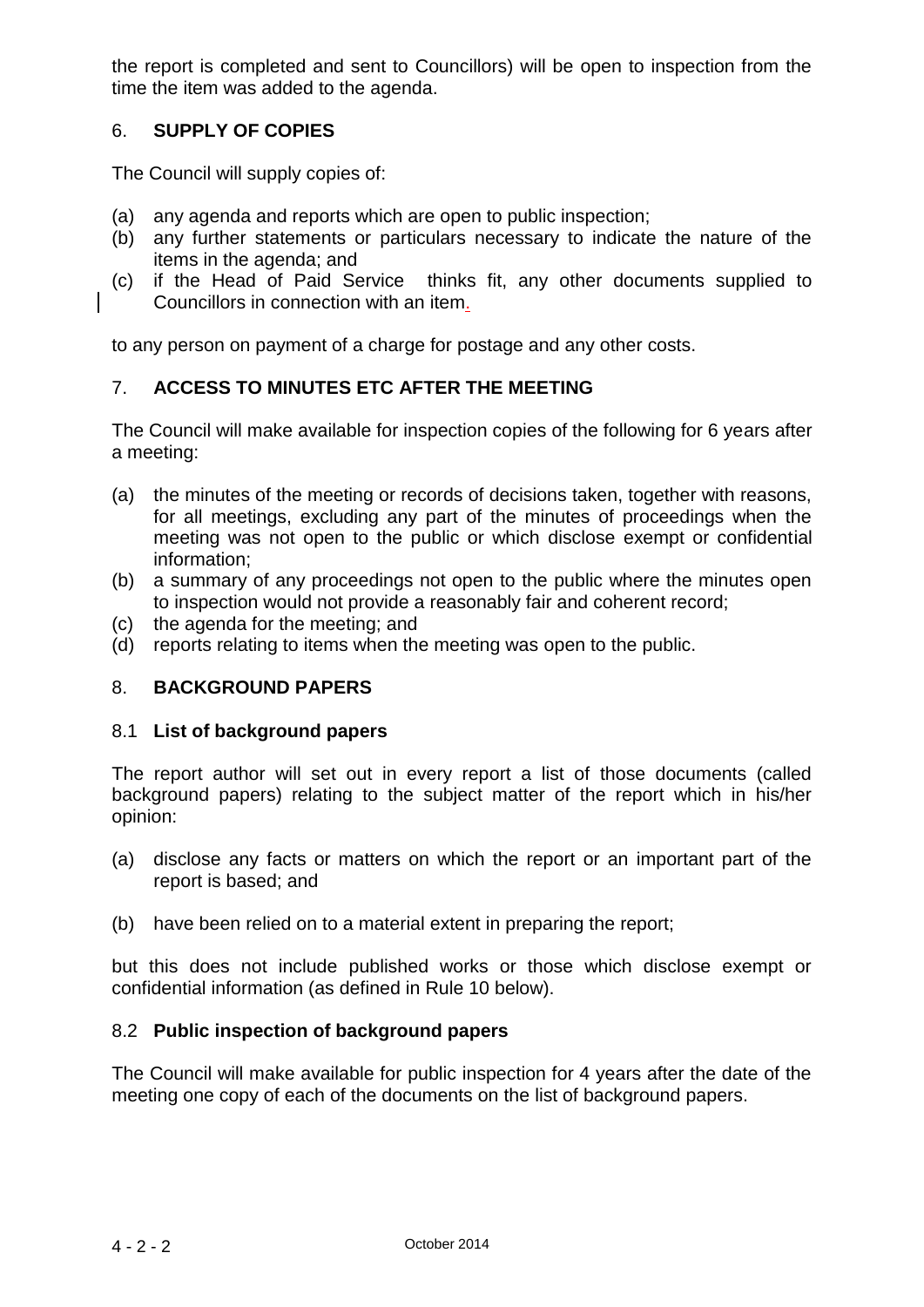the report is completed and sent to Councillors) will be open to inspection from the time the item was added to the agenda.

## 6. **SUPPLY OF COPIES**

The Council will supply copies of:

- (a) any agenda and reports which are open to public inspection;
- (b) any further statements or particulars necessary to indicate the nature of the items in the agenda; and
- (c) if the Head of Paid Service thinks fit, any other documents supplied to Councillors in connection with an item.

to any person on payment of a charge for postage and any other costs.

## 7. **ACCESS TO MINUTES ETC AFTER THE MEETING**

The Council will make available for inspection copies of the following for 6 years after a meeting:

- (a) the minutes of the meeting or records of decisions taken, together with reasons, for all meetings, excluding any part of the minutes of proceedings when the meeting was not open to the public or which disclose exempt or confidential information;
- (b) a summary of any proceedings not open to the public where the minutes open to inspection would not provide a reasonably fair and coherent record;
- (c) the agenda for the meeting; and
- (d) reports relating to items when the meeting was open to the public.

## 8. **BACKGROUND PAPERS**

#### 8.1 **List of background papers**

The report author will set out in every report a list of those documents (called background papers) relating to the subject matter of the report which in his/her opinion:

- (a) disclose any facts or matters on which the report or an important part of the report is based; and
- (b) have been relied on to a material extent in preparing the report;

but this does not include published works or those which disclose exempt or confidential information (as defined in Rule 10 below).

## 8.2 **Public inspection of background papers**

The Council will make available for public inspection for 4 years after the date of the meeting one copy of each of the documents on the list of background papers.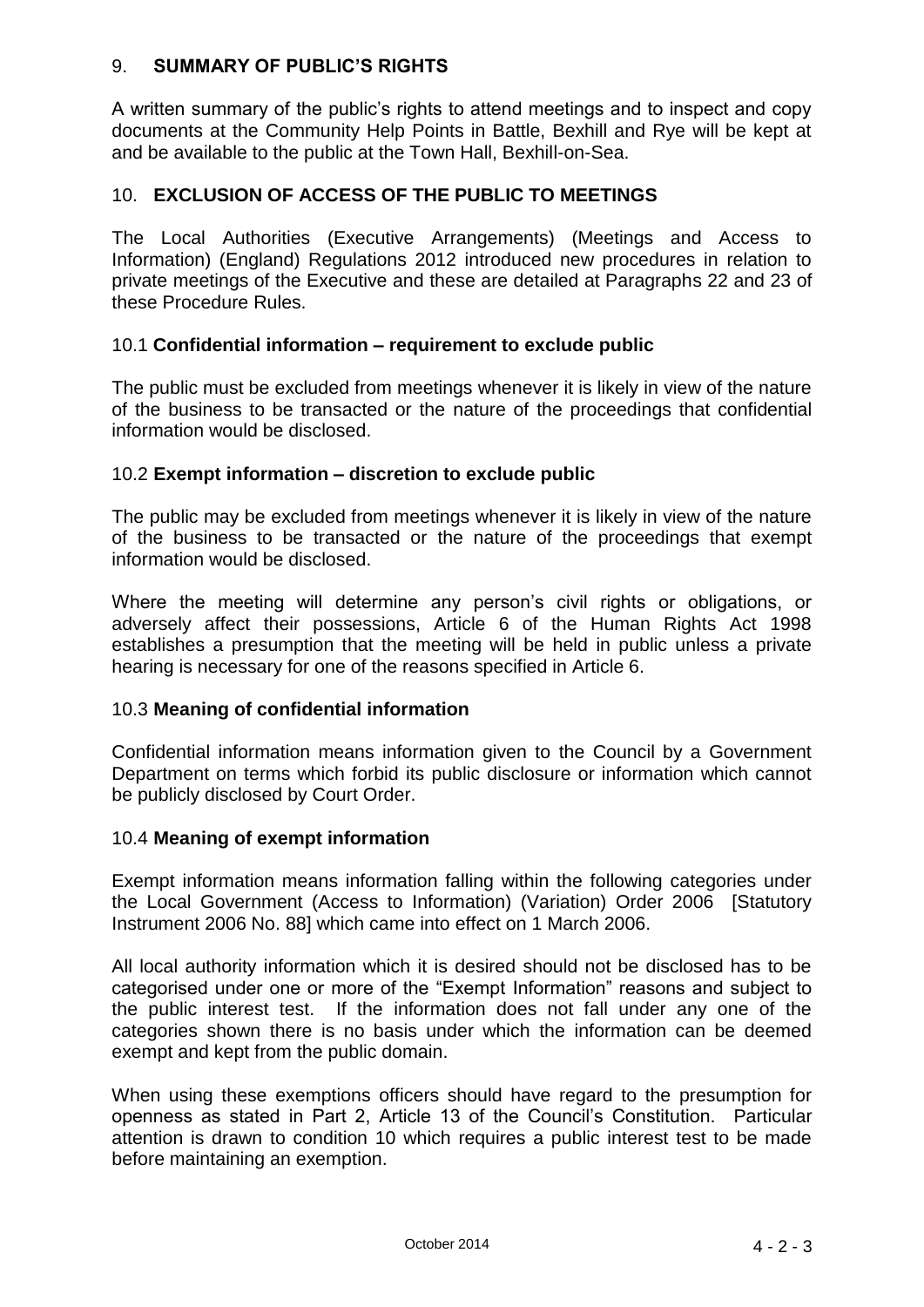## 9. **SUMMARY OF PUBLIC'S RIGHTS**

A written summary of the public's rights to attend meetings and to inspect and copy documents at the Community Help Points in Battle, Bexhill and Rye will be kept at and be available to the public at the Town Hall, Bexhill-on-Sea.

## 10. **EXCLUSION OF ACCESS OF THE PUBLIC TO MEETINGS**

The Local Authorities (Executive Arrangements) (Meetings and Access to Information) (England) Regulations 2012 introduced new procedures in relation to private meetings of the Executive and these are detailed at Paragraphs 22 and 23 of these Procedure Rules.

## 10.1 **Confidential information – requirement to exclude public**

The public must be excluded from meetings whenever it is likely in view of the nature of the business to be transacted or the nature of the proceedings that confidential information would be disclosed.

#### 10.2 **Exempt information – discretion to exclude public**

The public may be excluded from meetings whenever it is likely in view of the nature of the business to be transacted or the nature of the proceedings that exempt information would be disclosed.

Where the meeting will determine any person's civil rights or obligations, or adversely affect their possessions, Article 6 of the Human Rights Act 1998 establishes a presumption that the meeting will be held in public unless a private hearing is necessary for one of the reasons specified in Article 6.

#### 10.3 **Meaning of confidential information**

Confidential information means information given to the Council by a Government Department on terms which forbid its public disclosure or information which cannot be publicly disclosed by Court Order.

#### 10.4 **Meaning of exempt information**

Exempt information means information falling within the following categories under the Local Government (Access to Information) (Variation) Order 2006 [Statutory Instrument 2006 No. 88] which came into effect on 1 March 2006.

All local authority information which it is desired should not be disclosed has to be categorised under one or more of the "Exempt Information" reasons and subject to the public interest test. If the information does not fall under any one of the categories shown there is no basis under which the information can be deemed exempt and kept from the public domain.

When using these exemptions officers should have regard to the presumption for openness as stated in Part 2, Article 13 of the Council's Constitution. Particular attention is drawn to condition 10 which requires a public interest test to be made before maintaining an exemption.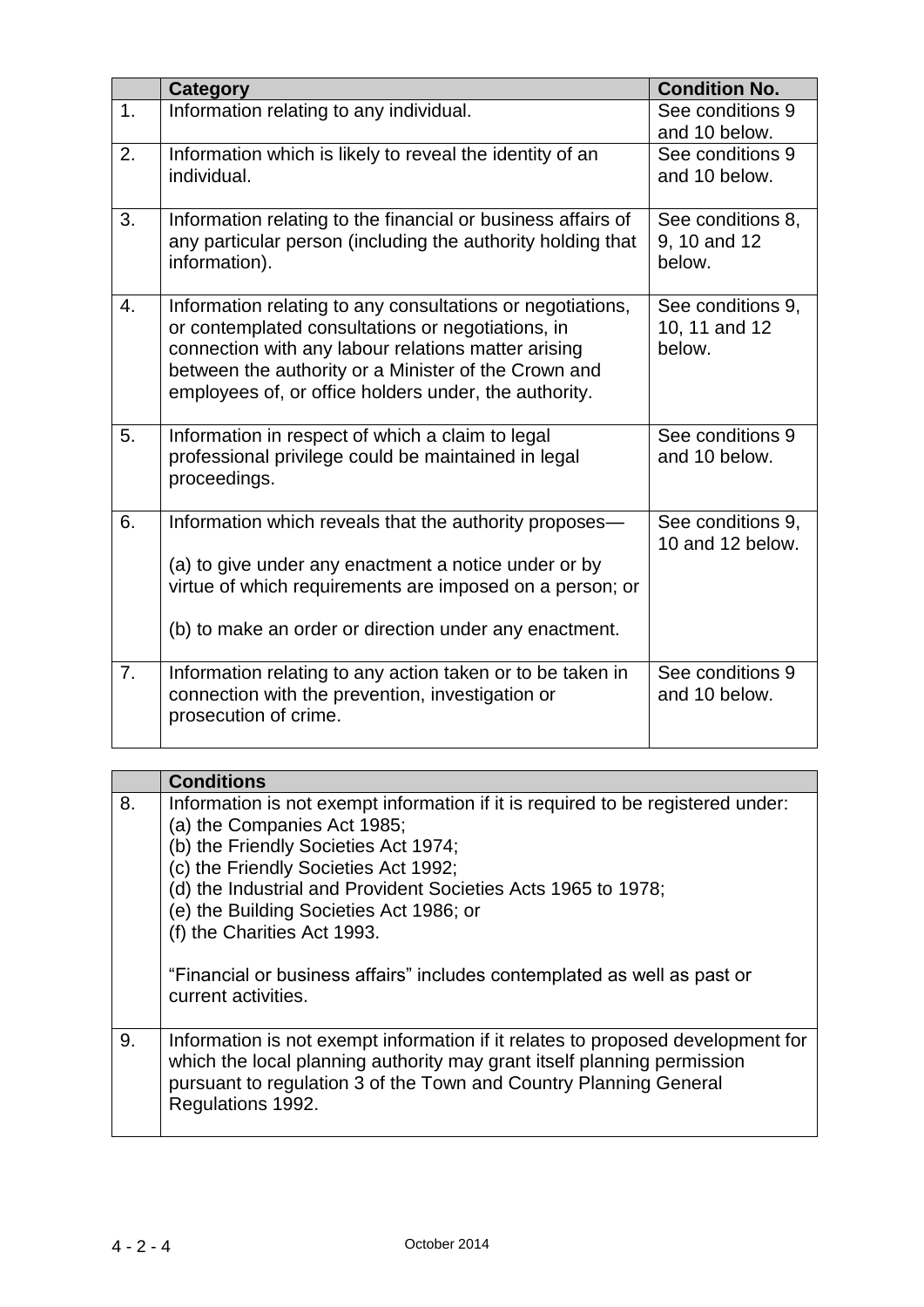|    | <b>Category</b>                                                                                                                                                                                                                                                                         | <b>Condition No.</b>                         |
|----|-----------------------------------------------------------------------------------------------------------------------------------------------------------------------------------------------------------------------------------------------------------------------------------------|----------------------------------------------|
| 1. | Information relating to any individual.                                                                                                                                                                                                                                                 | See conditions 9<br>and 10 below.            |
| 2. | Information which is likely to reveal the identity of an<br>individual.                                                                                                                                                                                                                 | See conditions 9<br>and 10 below.            |
| 3. | Information relating to the financial or business affairs of<br>any particular person (including the authority holding that<br>information).                                                                                                                                            | See conditions 8,<br>9, 10 and 12<br>below.  |
| 4. | Information relating to any consultations or negotiations,<br>or contemplated consultations or negotiations, in<br>connection with any labour relations matter arising<br>between the authority or a Minister of the Crown and<br>employees of, or office holders under, the authority. | See conditions 9,<br>10, 11 and 12<br>below. |
| 5. | Information in respect of which a claim to legal<br>professional privilege could be maintained in legal<br>proceedings.                                                                                                                                                                 | See conditions 9<br>and 10 below.            |
| 6. | Information which reveals that the authority proposes-<br>(a) to give under any enactment a notice under or by<br>virtue of which requirements are imposed on a person; or<br>(b) to make an order or direction under any enactment.                                                    | See conditions 9,<br>10 and 12 below.        |
| 7. | Information relating to any action taken or to be taken in<br>connection with the prevention, investigation or<br>prosecution of crime.                                                                                                                                                 | See conditions 9<br>and 10 below.            |

|    | <b>Conditions</b>                                                                                                                                                                                                                                                                                                                                                                                                     |
|----|-----------------------------------------------------------------------------------------------------------------------------------------------------------------------------------------------------------------------------------------------------------------------------------------------------------------------------------------------------------------------------------------------------------------------|
| 8. | Information is not exempt information if it is required to be registered under:<br>(a) the Companies Act 1985;<br>(b) the Friendly Societies Act 1974;<br>(c) the Friendly Societies Act 1992;<br>(d) the Industrial and Provident Societies Acts 1965 to 1978;<br>(e) the Building Societies Act 1986; or<br>(f) the Charities Act 1993.<br>"Financial or business affairs" includes contemplated as well as past or |
|    | current activities.                                                                                                                                                                                                                                                                                                                                                                                                   |
| 9. | Information is not exempt information if it relates to proposed development for<br>which the local planning authority may grant itself planning permission<br>pursuant to regulation 3 of the Town and Country Planning General<br>Regulations 1992.                                                                                                                                                                  |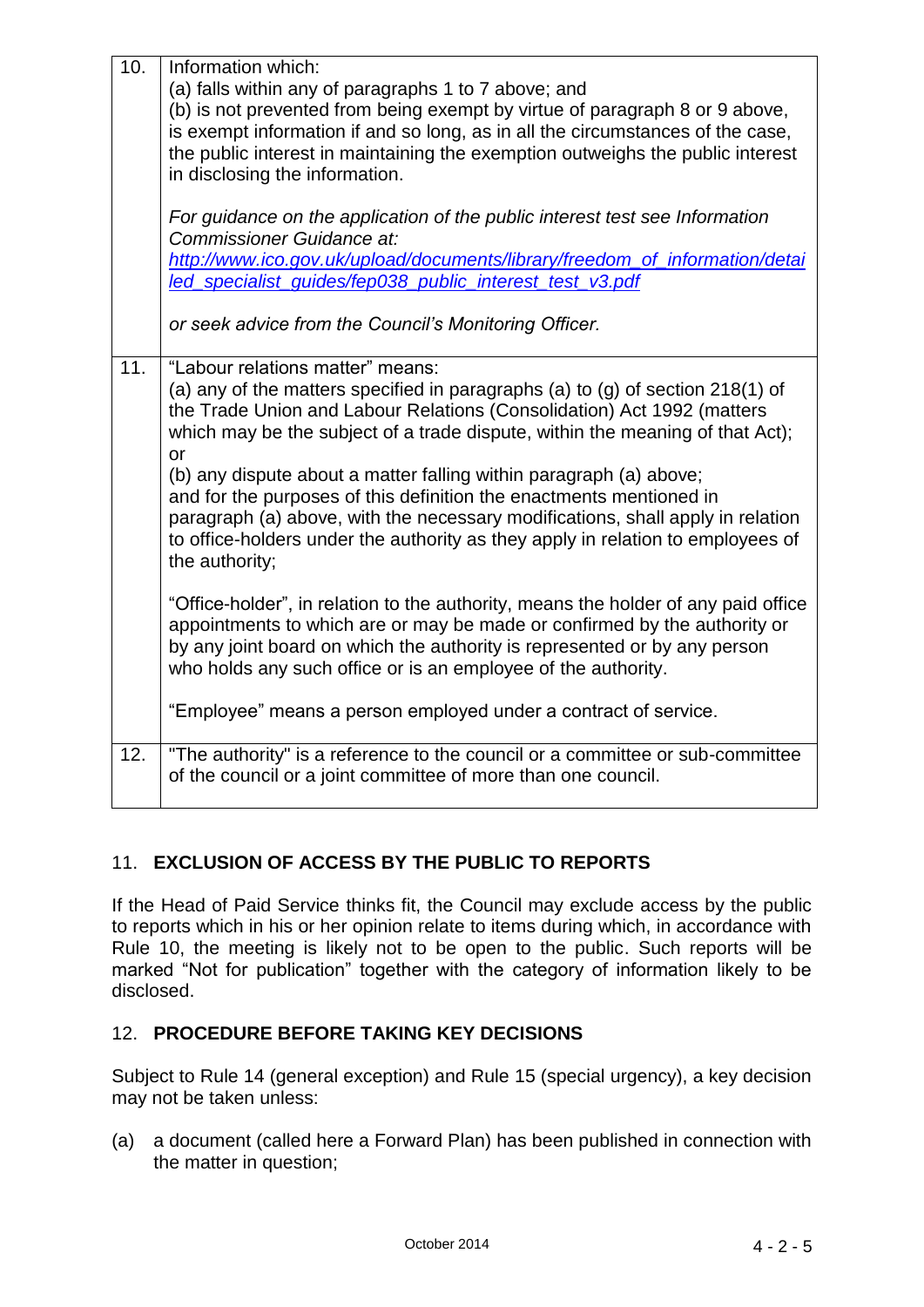| 10. | Information which:<br>(a) falls within any of paragraphs 1 to 7 above; and<br>(b) is not prevented from being exempt by virtue of paragraph 8 or 9 above,<br>is exempt information if and so long, as in all the circumstances of the case,<br>the public interest in maintaining the exemption outweighs the public interest<br>in disclosing the information.<br>For guidance on the application of the public interest test see Information<br>Commissioner Guidance at:                                                                                                                                               |
|-----|---------------------------------------------------------------------------------------------------------------------------------------------------------------------------------------------------------------------------------------------------------------------------------------------------------------------------------------------------------------------------------------------------------------------------------------------------------------------------------------------------------------------------------------------------------------------------------------------------------------------------|
|     | http://www.ico.gov.uk/upload/documents/library/freedom_of_information/detai<br>led_specialist_quides/fep038_public_interest_test_v3.pdf                                                                                                                                                                                                                                                                                                                                                                                                                                                                                   |
|     | or seek advice from the Council's Monitoring Officer.                                                                                                                                                                                                                                                                                                                                                                                                                                                                                                                                                                     |
| 11. | "Labour relations matter" means:<br>(a) any of the matters specified in paragraphs (a) to (g) of section $218(1)$ of<br>the Trade Union and Labour Relations (Consolidation) Act 1992 (matters<br>which may be the subject of a trade dispute, within the meaning of that Act);<br>or<br>(b) any dispute about a matter falling within paragraph (a) above;<br>and for the purposes of this definition the enactments mentioned in<br>paragraph (a) above, with the necessary modifications, shall apply in relation<br>to office-holders under the authority as they apply in relation to employees of<br>the authority; |
|     | "Office-holder", in relation to the authority, means the holder of any paid office<br>appointments to which are or may be made or confirmed by the authority or<br>by any joint board on which the authority is represented or by any person<br>who holds any such office or is an employee of the authority.<br>"Employee" means a person employed under a contract of service.                                                                                                                                                                                                                                          |
|     |                                                                                                                                                                                                                                                                                                                                                                                                                                                                                                                                                                                                                           |
| 12. | "The authority" is a reference to the council or a committee or sub-committee<br>of the council or a joint committee of more than one council.                                                                                                                                                                                                                                                                                                                                                                                                                                                                            |

## 11. **EXCLUSION OF ACCESS BY THE PUBLIC TO REPORTS**

If the Head of Paid Service thinks fit, the Council may exclude access by the public to reports which in his or her opinion relate to items during which, in accordance with Rule 10, the meeting is likely not to be open to the public. Such reports will be marked "Not for publication" together with the category of information likely to be disclosed.

## 12. **PROCEDURE BEFORE TAKING KEY DECISIONS**

Subject to Rule 14 (general exception) and Rule 15 (special urgency), a key decision may not be taken unless:

(a) a document (called here a Forward Plan) has been published in connection with the matter in question;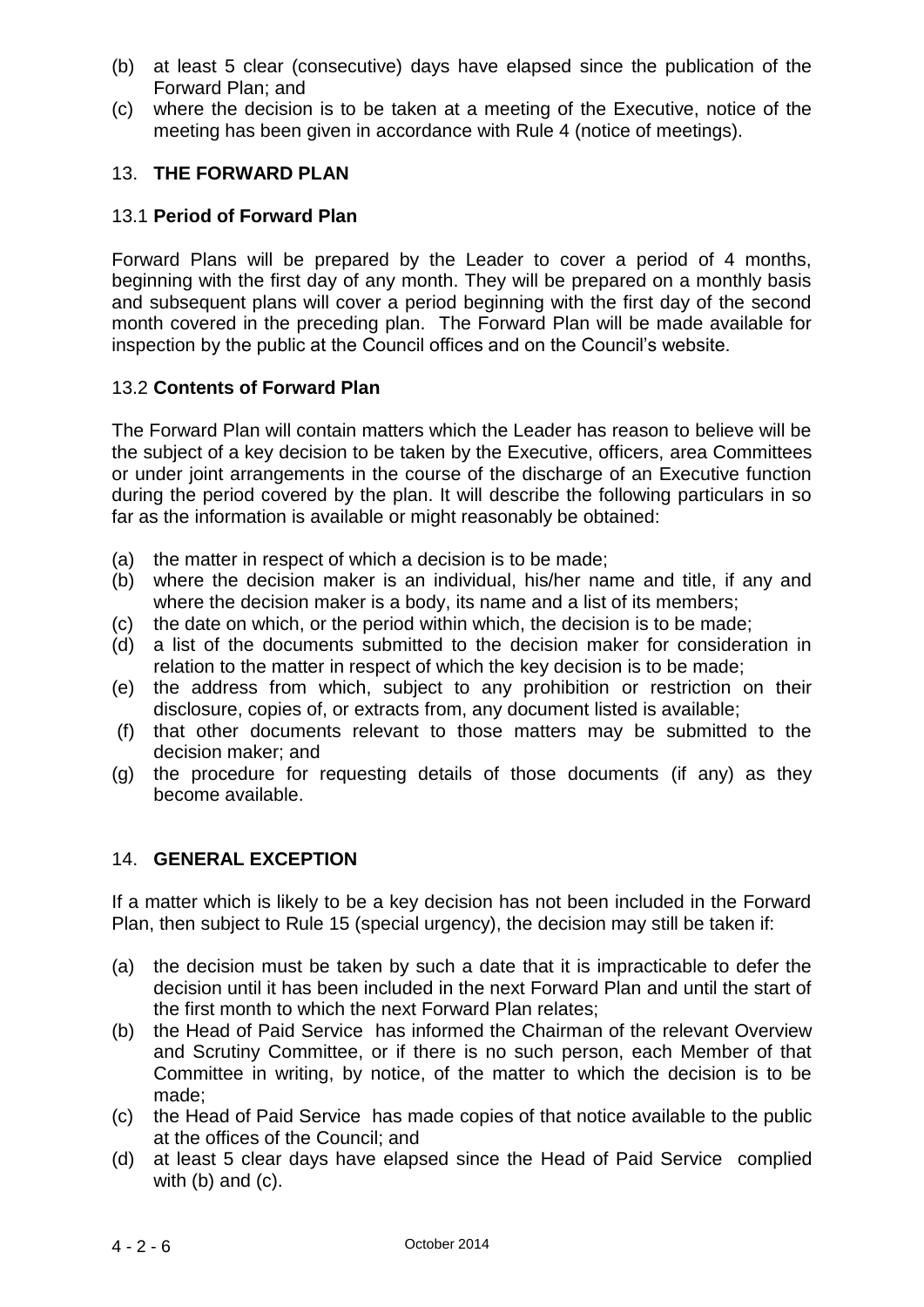- (b) at least 5 clear (consecutive) days have elapsed since the publication of the Forward Plan; and
- (c) where the decision is to be taken at a meeting of the Executive, notice of the meeting has been given in accordance with Rule 4 (notice of meetings).

## 13. **THE FORWARD PLAN**

#### 13.1 **Period of Forward Plan**

Forward Plans will be prepared by the Leader to cover a period of 4 months, beginning with the first day of any month. They will be prepared on a monthly basis and subsequent plans will cover a period beginning with the first day of the second month covered in the preceding plan. The Forward Plan will be made available for inspection by the public at the Council offices and on the Council's website.

#### 13.2 **Contents of Forward Plan**

The Forward Plan will contain matters which the Leader has reason to believe will be the subject of a key decision to be taken by the Executive, officers, area Committees or under joint arrangements in the course of the discharge of an Executive function during the period covered by the plan. It will describe the following particulars in so far as the information is available or might reasonably be obtained:

- (a) the matter in respect of which a decision is to be made;
- (b) where the decision maker is an individual, his/her name and title, if any and where the decision maker is a body, its name and a list of its members;
- (c) the date on which, or the period within which, the decision is to be made;
- (d) a list of the documents submitted to the decision maker for consideration in relation to the matter in respect of which the key decision is to be made;
- (e) the address from which, subject to any prohibition or restriction on their disclosure, copies of, or extracts from, any document listed is available;
- (f) that other documents relevant to those matters may be submitted to the decision maker; and
- (g) the procedure for requesting details of those documents (if any) as they become available.

## 14. **GENERAL EXCEPTION**

If a matter which is likely to be a key decision has not been included in the Forward Plan, then subject to Rule 15 (special urgency), the decision may still be taken if:

- (a) the decision must be taken by such a date that it is impracticable to defer the decision until it has been included in the next Forward Plan and until the start of the first month to which the next Forward Plan relates;
- (b) the Head of Paid Service has informed the Chairman of the relevant Overview and Scrutiny Committee, or if there is no such person, each Member of that Committee in writing, by notice, of the matter to which the decision is to be made;
- (c) the Head of Paid Service has made copies of that notice available to the public at the offices of the Council; and
- (d) at least 5 clear days have elapsed since the Head of Paid Service complied with (b) and (c).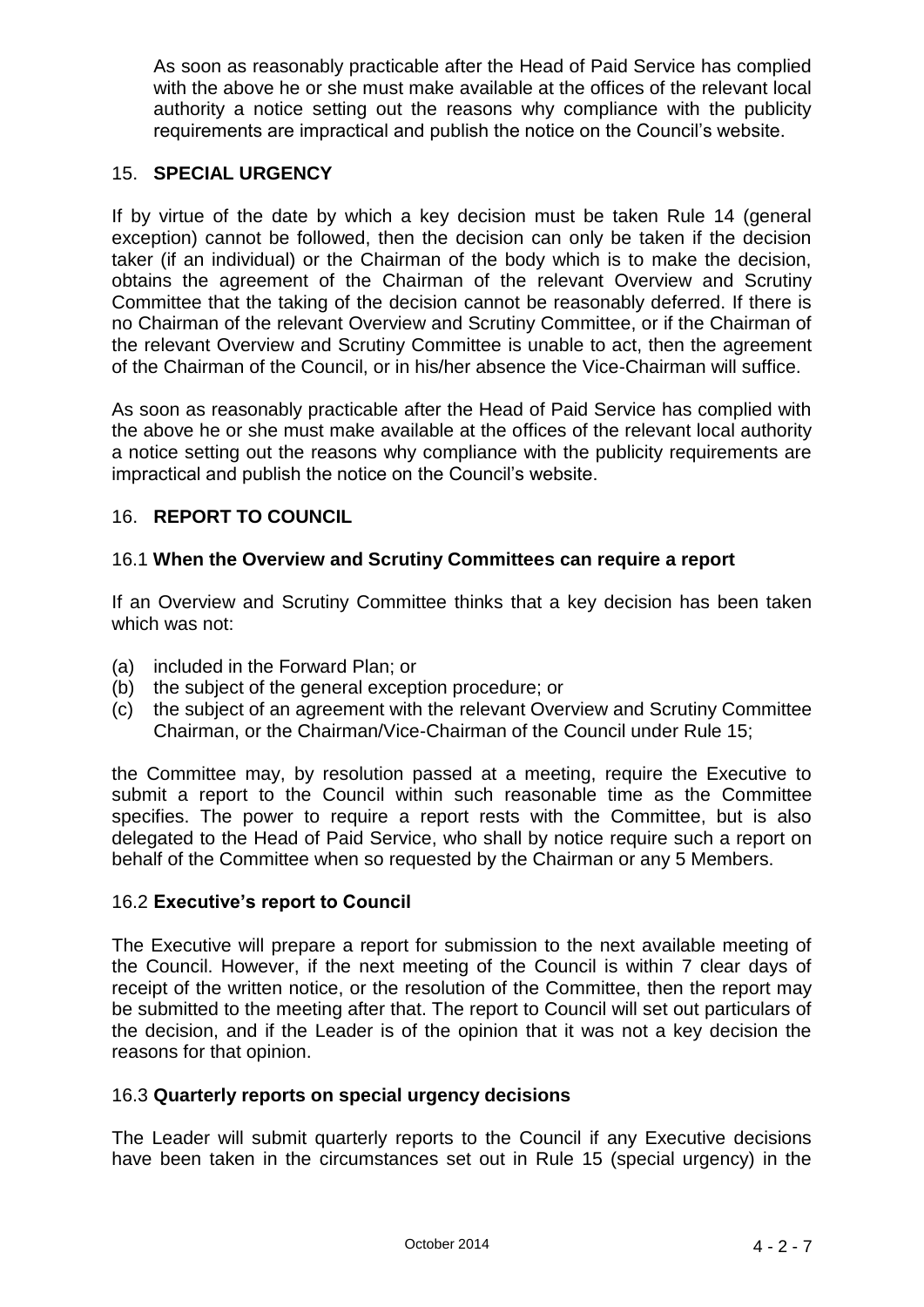As soon as reasonably practicable after the Head of Paid Service has complied with the above he or she must make available at the offices of the relevant local authority a notice setting out the reasons why compliance with the publicity requirements are impractical and publish the notice on the Council's website.

## 15. **SPECIAL URGENCY**

If by virtue of the date by which a key decision must be taken Rule 14 (general exception) cannot be followed, then the decision can only be taken if the decision taker (if an individual) or the Chairman of the body which is to make the decision, obtains the agreement of the Chairman of the relevant Overview and Scrutiny Committee that the taking of the decision cannot be reasonably deferred. If there is no Chairman of the relevant Overview and Scrutiny Committee, or if the Chairman of the relevant Overview and Scrutiny Committee is unable to act, then the agreement of the Chairman of the Council, or in his/her absence the Vice-Chairman will suffice.

As soon as reasonably practicable after the Head of Paid Service has complied with the above he or she must make available at the offices of the relevant local authority a notice setting out the reasons why compliance with the publicity requirements are impractical and publish the notice on the Council's website.

## 16. **REPORT TO COUNCIL**

## 16.1 **When the Overview and Scrutiny Committees can require a report**

If an Overview and Scrutiny Committee thinks that a key decision has been taken which was not:

- (a) included in the Forward Plan; or
- (b) the subject of the general exception procedure; or
- (c) the subject of an agreement with the relevant Overview and Scrutiny Committee Chairman, or the Chairman/Vice-Chairman of the Council under Rule 15;

the Committee may, by resolution passed at a meeting, require the Executive to submit a report to the Council within such reasonable time as the Committee specifies. The power to require a report rests with the Committee, but is also delegated to the Head of Paid Service, who shall by notice require such a report on behalf of the Committee when so requested by the Chairman or any 5 Members.

## 16.2 **Executive's report to Council**

The Executive will prepare a report for submission to the next available meeting of the Council. However, if the next meeting of the Council is within 7 clear days of receipt of the written notice, or the resolution of the Committee, then the report may be submitted to the meeting after that. The report to Council will set out particulars of the decision, and if the Leader is of the opinion that it was not a key decision the reasons for that opinion.

## 16.3 **Quarterly reports on special urgency decisions**

The Leader will submit quarterly reports to the Council if any Executive decisions have been taken in the circumstances set out in Rule 15 (special urgency) in the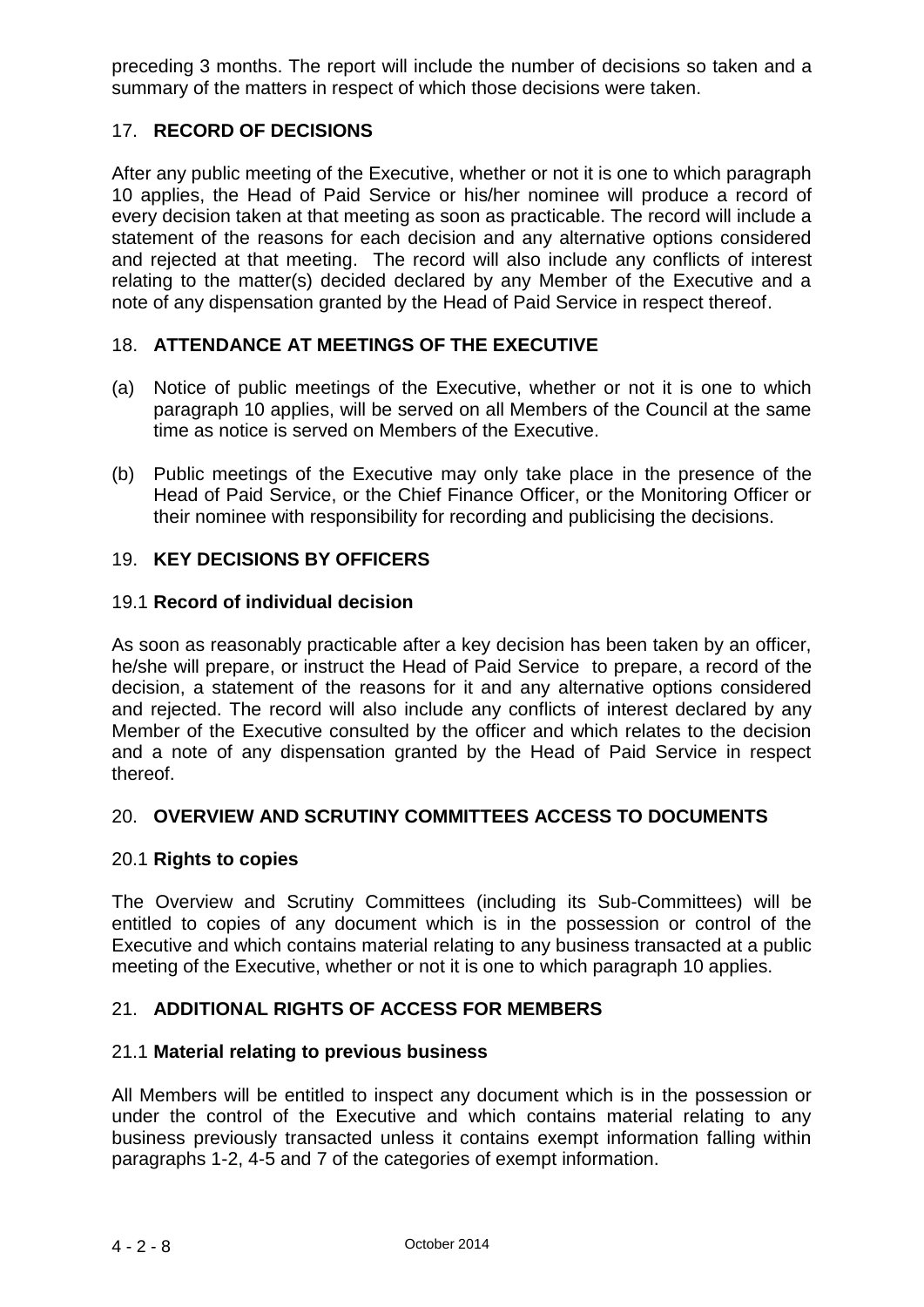preceding 3 months. The report will include the number of decisions so taken and a summary of the matters in respect of which those decisions were taken.

## 17. **RECORD OF DECISIONS**

After any public meeting of the Executive, whether or not it is one to which paragraph 10 applies, the Head of Paid Service or his/her nominee will produce a record of every decision taken at that meeting as soon as practicable. The record will include a statement of the reasons for each decision and any alternative options considered and rejected at that meeting. The record will also include any conflicts of interest relating to the matter(s) decided declared by any Member of the Executive and a note of any dispensation granted by the Head of Paid Service in respect thereof.

## 18. **ATTENDANCE AT MEETINGS OF THE EXECUTIVE**

- (a) Notice of public meetings of the Executive, whether or not it is one to which paragraph 10 applies, will be served on all Members of the Council at the same time as notice is served on Members of the Executive.
- (b) Public meetings of the Executive may only take place in the presence of the Head of Paid Service, or the Chief Finance Officer, or the Monitoring Officer or their nominee with responsibility for recording and publicising the decisions.

## 19. **KEY DECISIONS BY OFFICERS**

#### 19.1 **Record of individual decision**

As soon as reasonably practicable after a key decision has been taken by an officer, he/she will prepare, or instruct the Head of Paid Service to prepare, a record of the decision, a statement of the reasons for it and any alternative options considered and rejected. The record will also include any conflicts of interest declared by any Member of the Executive consulted by the officer and which relates to the decision and a note of any dispensation granted by the Head of Paid Service in respect thereof.

#### 20. **OVERVIEW AND SCRUTINY COMMITTEES ACCESS TO DOCUMENTS**

#### 20.1 **Rights to copies**

The Overview and Scrutiny Committees (including its Sub-Committees) will be entitled to copies of any document which is in the possession or control of the Executive and which contains material relating to any business transacted at a public meeting of the Executive, whether or not it is one to which paragraph 10 applies.

## 21. **ADDITIONAL RIGHTS OF ACCESS FOR MEMBERS**

#### 21.1 **Material relating to previous business**

All Members will be entitled to inspect any document which is in the possession or under the control of the Executive and which contains material relating to any business previously transacted unless it contains exempt information falling within paragraphs 1-2, 4-5 and 7 of the categories of exempt information.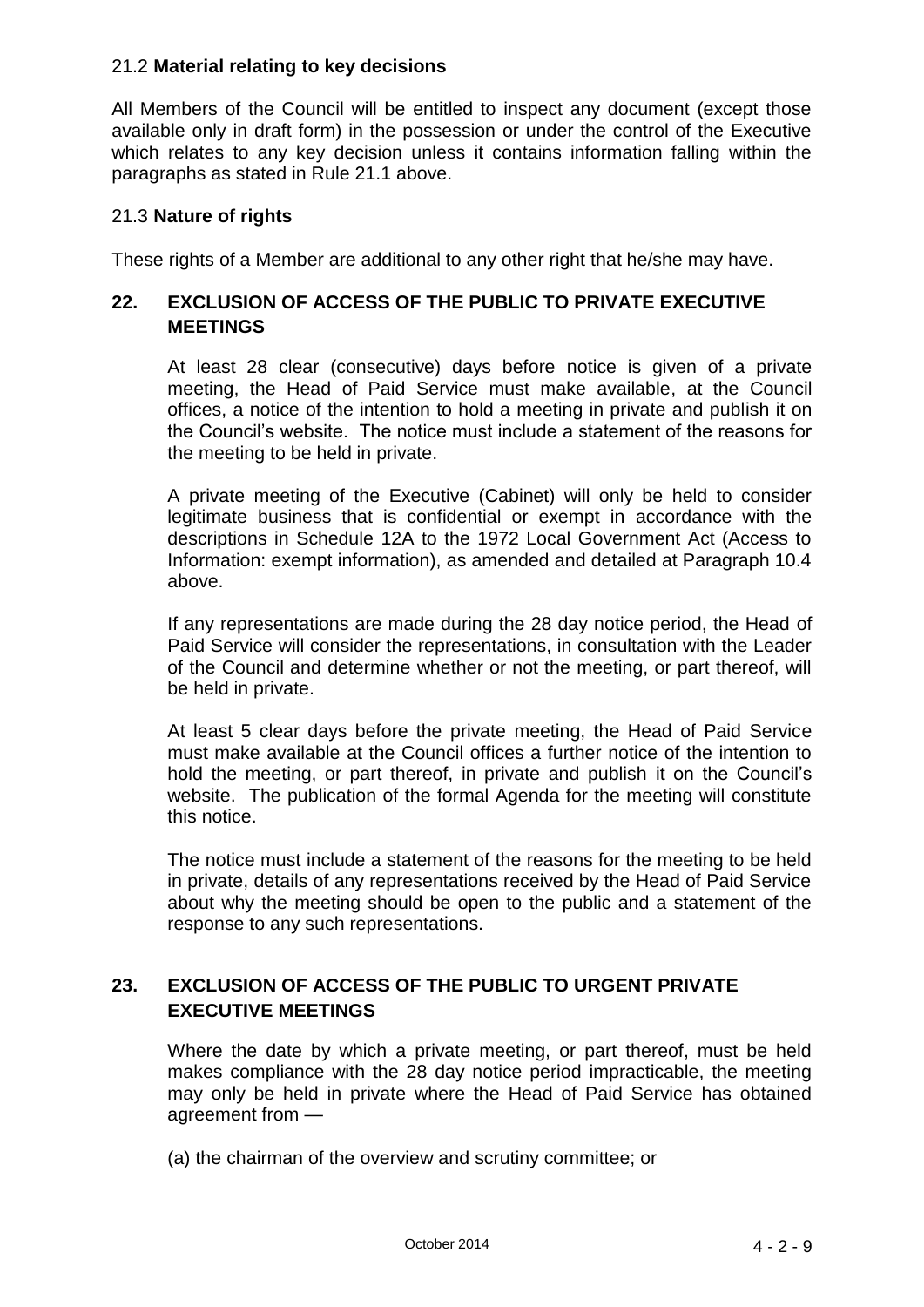## 21.2 **Material relating to key decisions**

All Members of the Council will be entitled to inspect any document (except those available only in draft form) in the possession or under the control of the Executive which relates to any key decision unless it contains information falling within the paragraphs as stated in Rule 21.1 above.

#### 21.3 **Nature of rights**

These rights of a Member are additional to any other right that he/she may have.

## **22. EXCLUSION OF ACCESS OF THE PUBLIC TO PRIVATE EXECUTIVE MEETINGS**

At least 28 clear (consecutive) days before notice is given of a private meeting, the Head of Paid Service must make available, at the Council offices, a notice of the intention to hold a meeting in private and publish it on the Council's website. The notice must include a statement of the reasons for the meeting to be held in private.

A private meeting of the Executive (Cabinet) will only be held to consider legitimate business that is confidential or exempt in accordance with the descriptions in Schedule 12A to the 1972 Local Government Act (Access to Information: exempt information), as amended and detailed at Paragraph 10.4 above.

If any representations are made during the 28 day notice period, the Head of Paid Service will consider the representations, in consultation with the Leader of the Council and determine whether or not the meeting, or part thereof, will be held in private.

At least 5 clear days before the private meeting, the Head of Paid Service must make available at the Council offices a further notice of the intention to hold the meeting, or part thereof, in private and publish it on the Council's website. The publication of the formal Agenda for the meeting will constitute this notice.

The notice must include a statement of the reasons for the meeting to be held in private, details of any representations received by the Head of Paid Service about why the meeting should be open to the public and a statement of the response to any such representations.

## **23. EXCLUSION OF ACCESS OF THE PUBLIC TO URGENT PRIVATE EXECUTIVE MEETINGS**

Where the date by which a private meeting, or part thereof, must be held makes compliance with the 28 day notice period impracticable, the meeting may only be held in private where the Head of Paid Service has obtained agreement from —

(a) the chairman of the overview and scrutiny committee; or